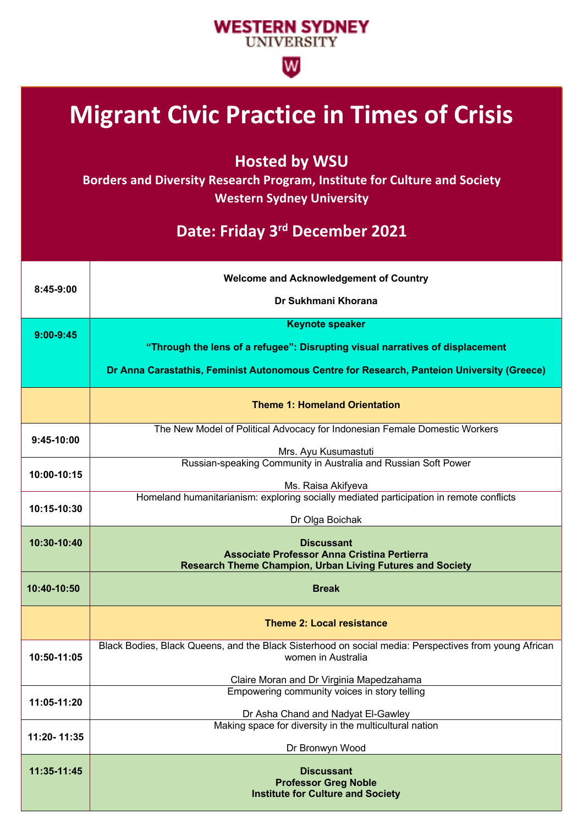## **WESTERN SYDNEY UNIVERSITY**

 $\overline{\mathsf{w}}$ 

## **Migrant Civic Practice in Times of Crisis**

**Hosted by WSU**

**Borders and Diversity Research Program, Institute for Culture and Society Western Sydney University**

## **Date: Friday 3rd December 2021**

| 8:45-9:00     | <b>Welcome and Acknowledgement of Country</b><br>Dr Sukhmani Khorana                                  |
|---------------|-------------------------------------------------------------------------------------------------------|
|               |                                                                                                       |
| $9:00 - 9:45$ | <b>Keynote speaker</b>                                                                                |
|               | "Through the lens of a refugee": Disrupting visual narratives of displacement                         |
|               |                                                                                                       |
|               | Dr Anna Carastathis, Feminist Autonomous Centre for Research, Panteion University (Greece)            |
|               | <b>Theme 1: Homeland Orientation</b>                                                                  |
| 9:45-10:00    | The New Model of Political Advocacy for Indonesian Female Domestic Workers                            |
|               | Mrs. Ayu Kusumastuti                                                                                  |
|               | Russian-speaking Community in Australia and Russian Soft Power                                        |
| 10:00-10:15   | Ms. Raisa Akifyeva                                                                                    |
| 10:15-10:30   | Homeland humanitarianism: exploring socially mediated participation in remote conflicts               |
|               | Dr Olga Boichak                                                                                       |
|               |                                                                                                       |
| 10:30-10:40   | <b>Discussant</b><br><b>Associate Professor Anna Cristina Pertierra</b>                               |
|               | <b>Research Theme Champion, Urban Living Futures and Society</b>                                      |
| 10:40-10:50   | <b>Break</b>                                                                                          |
|               | <b>Theme 2: Local resistance</b>                                                                      |
|               | Black Bodies, Black Queens, and the Black Sisterhood on social media: Perspectives from young African |
| 10:50-11:05   | women in Australia                                                                                    |
|               | Claire Moran and Dr Virginia Mapedzahama                                                              |
| 11:05-11:20   | Empowering community voices in story telling                                                          |
|               | Dr Asha Chand and Nadyat El-Gawley                                                                    |
| 11:20-11:35   | Making space for diversity in the multicultural nation                                                |
|               | Dr Bronwyn Wood                                                                                       |
| 11:35-11:45   | <b>Discussant</b>                                                                                     |
|               | <b>Professor Greg Noble</b>                                                                           |
|               | <b>Institute for Culture and Society</b>                                                              |